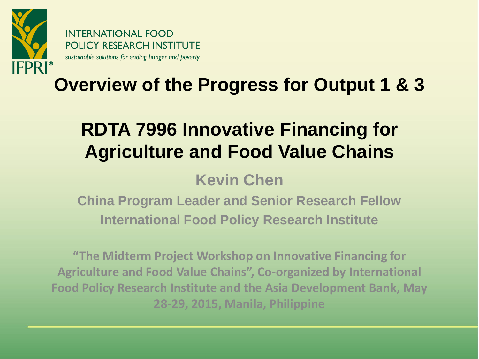

**INTERNATIONAL FOOD POLICY RESEARCH INSTITUTE** sustainable solutions for ending hunger and poverty

#### **Overview of the Progress for Output 1 & 3**

#### **RDTA 7996 Innovative Financing for Agriculture and Food Value Chains**

#### **Kevin Chen**

**China Program Leader and Senior Research Fellow International Food Policy Research Institute**

**"The Midterm Project Workshop on Innovative Financing for Agriculture and Food Value Chains", Co-organized by International Food Policy Research Institute and the Asia Development Bank, May 28-29, 2015, Manila, Philippine**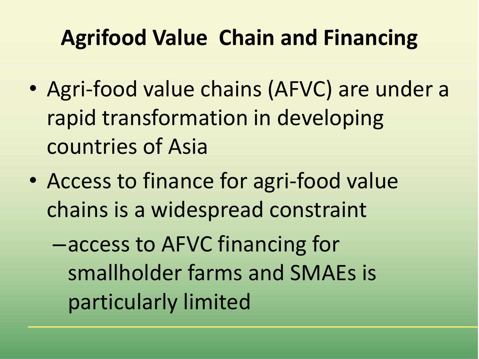#### **Agrifood Value Chain and Financing**

- Agri-food value chains (AFVC) are under a rapid transformation in developing countries of Asia
- Access to finance for agri-food value chains is a widespread constraint

–access to AFVC financing for smallholder farms and SMAEs is particularly limited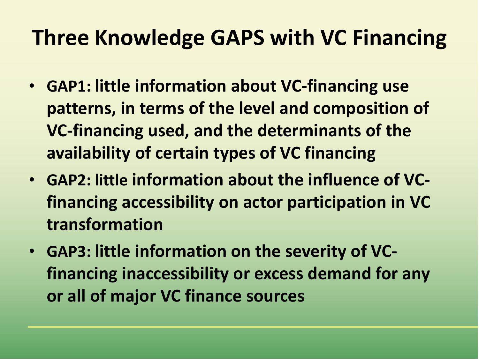#### **Three Knowledge GAPS with VC Financing**

- **GAP1: little information about VC-financing use patterns, in terms of the level and composition of VC-financing used, and the determinants of the availability of certain types of VC financing**
- **GAP2: little information about the influence of VCfinancing accessibility on actor participation in VC transformation**
- **GAP3: little information on the severity of VCfinancing inaccessibility or excess demand for any or all of major VC finance sources**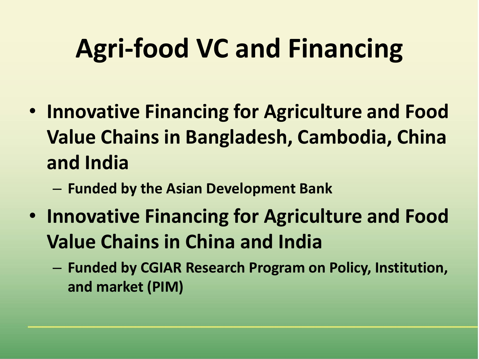# **Agri-food VC and Financing**

- **Innovative Financing for Agriculture and Food Value Chains in Bangladesh, Cambodia, China and India**
	- **Funded by the Asian Development Bank**
- **Innovative Financing for Agriculture and Food Value Chains in China and India**
	- **Funded by CGIAR Research Program on Policy, Institution, and market (PIM)**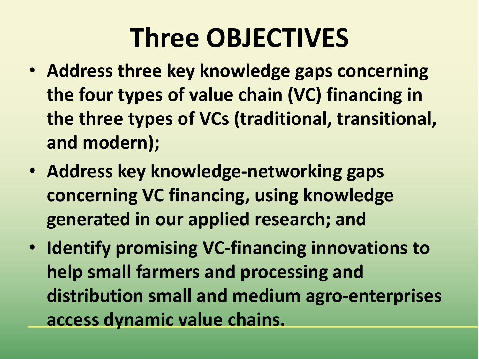## **Three OBJECTIVES**

- **Address three key knowledge gaps concerning the four types of value chain (VC) financing in the three types of VCs (traditional, transitional, and modern);**
- **Address key knowledge-networking gaps concerning VC financing, using knowledge generated in our applied research; and**
- **Identify promising VC-financing innovations to help small farmers and processing and distribution small and medium agro-enterprises access dynamic value chains.**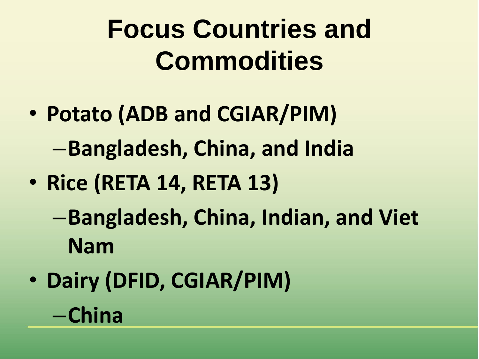# **Focus Countries and Commodities**

- **Potato (ADB and CGIAR/PIM)** –**Bangladesh, China, and India**
- **Rice (RETA 14, RETA 13)**
	- –**Bangladesh, China, Indian, and Viet Nam**
- **Dairy (DFID, CGIAR/PIM)** –**China**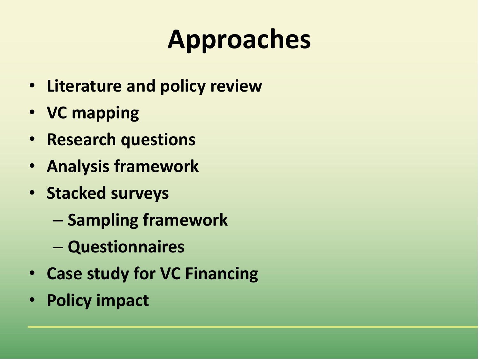# **Approaches**

- **Literature and policy review**
- **VC mapping**
- **Research questions**
- **Analysis framework**
- **Stacked surveys**
	- **Sampling framework**
	- **Questionnaires**
- **Case study for VC Financing**
- **Policy impact**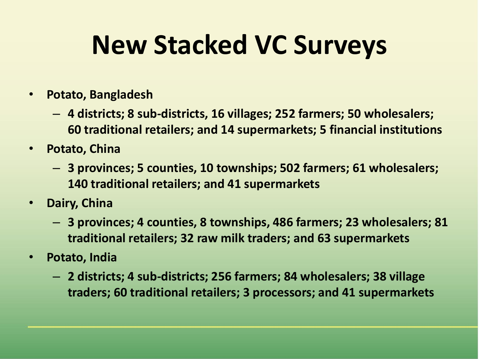## **New Stacked VC Surveys**

- **Potato, Bangladesh**
	- **4 districts; 8 sub-districts, 16 villages; 252 farmers; 50 wholesalers; 60 traditional retailers; and 14 supermarkets; 5 financial institutions**
- **Potato, China**
	- **3 provinces; 5 counties, 10 townships; 502 farmers; 61 wholesalers; 140 traditional retailers; and 41 supermarkets**
- **Dairy, China**
	- **3 provinces; 4 counties, 8 townships, 486 farmers; 23 wholesalers; 81 traditional retailers; 32 raw milk traders; and 63 supermarkets**
- **Potato, India**
	- **2 districts; 4 sub-districts; 256 farmers; 84 wholesalers; 38 village traders; 60 traditional retailers; 3 processors; and 41 supermarkets**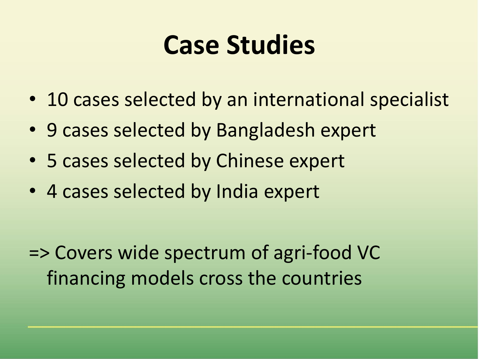### **Case Studies**

- 10 cases selected by an international specialist
- 9 cases selected by Bangladesh expert
- 5 cases selected by Chinese expert
- 4 cases selected by India expert

=> Covers wide spectrum of agri-food VC financing models cross the countries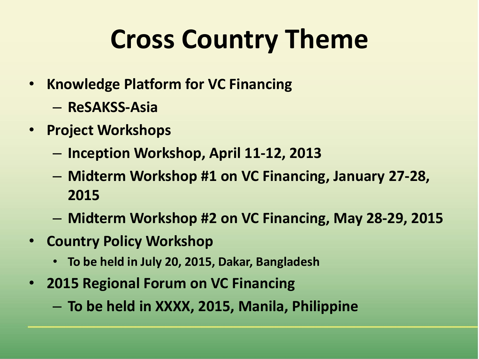# **Cross Country Theme**

- **Knowledge Platform for VC Financing**
	- **ReSAKSS-Asia**
- **Project Workshops**
	- **Inception Workshop, April 11-12, 2013**
	- **Midterm Workshop #1 on VC Financing, January 27-28, 2015**
	- **Midterm Workshop #2 on VC Financing, May 28-29, 2015**
- **Country Policy Workshop**
	- **To be held in July 20, 2015, Dakar, Bangladesh**
- **2015 Regional Forum on VC Financing**
	- **To be held in XXXX, 2015, Manila, Philippine**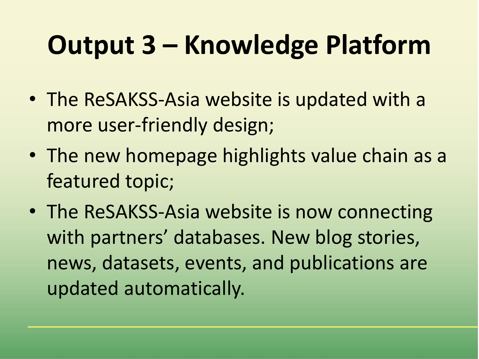# **Output 3 – Knowledge Platform**

- The ReSAKSS-Asia website is updated with a more user-friendly design;
- The new homepage highlights value chain as a featured topic;
- The ReSAKSS-Asia website is now connecting with partners' databases. New blog stories, news, datasets, events, and publications are updated automatically.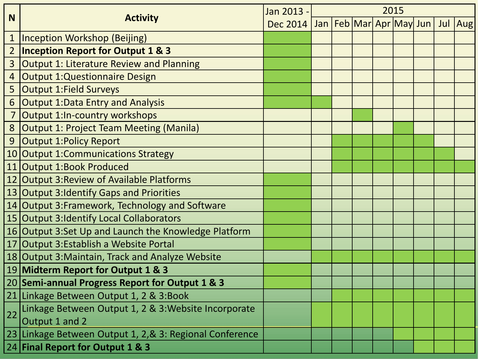| <b>N</b>        | <b>Activity</b>                                          | Jan 2013 -                               | 2015 |  |  |  |  |  |  |         |
|-----------------|----------------------------------------------------------|------------------------------------------|------|--|--|--|--|--|--|---------|
|                 |                                                          | Dec 2014 Jan   Feb   Mar   Apr   May Jun |      |  |  |  |  |  |  | Jul Aug |
| $\mathbf 1$     | <b>Inception Workshop (Beijing)</b>                      |                                          |      |  |  |  |  |  |  |         |
| $\overline{2}$  | <b>Inception Report for Output 1 &amp; 3</b>             |                                          |      |  |  |  |  |  |  |         |
| 3               | <b>Output 1: Literature Review and Planning</b>          |                                          |      |  |  |  |  |  |  |         |
| $\overline{4}$  | <b>Output 1:Questionnaire Design</b>                     |                                          |      |  |  |  |  |  |  |         |
| 5               | <b>Output 1: Field Surveys</b>                           |                                          |      |  |  |  |  |  |  |         |
| 6               | <b>Output 1: Data Entry and Analysis</b>                 |                                          |      |  |  |  |  |  |  |         |
|                 | <b>Output 1:In-country workshops</b>                     |                                          |      |  |  |  |  |  |  |         |
| 8               | <b>Output 1: Project Team Meeting (Manila)</b>           |                                          |      |  |  |  |  |  |  |         |
| 9               | <b>Output 1: Policy Report</b>                           |                                          |      |  |  |  |  |  |  |         |
| 10 <sup>1</sup> | <b>Output 1:Communications Strategy</b>                  |                                          |      |  |  |  |  |  |  |         |
| 11              | Output 1:Book Produced                                   |                                          |      |  |  |  |  |  |  |         |
| 12              | Output 3: Review of Available Platforms                  |                                          |      |  |  |  |  |  |  |         |
|                 | 13 Output 3: Identify Gaps and Priorities                |                                          |      |  |  |  |  |  |  |         |
|                 | 14 Output 3: Framework, Technology and Software          |                                          |      |  |  |  |  |  |  |         |
|                 | 15 Output 3: Identify Local Collaborators                |                                          |      |  |  |  |  |  |  |         |
|                 | 16 Output 3:Set Up and Launch the Knowledge Platform     |                                          |      |  |  |  |  |  |  |         |
| 17              | Output 3:Establish a Website Portal                      |                                          |      |  |  |  |  |  |  |         |
|                 | 18 Output 3: Maintain, Track and Analyze Website         |                                          |      |  |  |  |  |  |  |         |
|                 | 19 Midterm Report for Output 1 & 3                       |                                          |      |  |  |  |  |  |  |         |
|                 | 20 Semi-annual Progress Report for Output 1 & 3          |                                          |      |  |  |  |  |  |  |         |
|                 | 21 Linkage Between Output 1, 2 & 3:Book                  |                                          |      |  |  |  |  |  |  |         |
| 22              | Linkage Between Output 1, 2 & 3: Website Incorporate     |                                          |      |  |  |  |  |  |  |         |
|                 | Output 1 and 2                                           |                                          |      |  |  |  |  |  |  |         |
|                 | 23 Linkage Between Output 1, 2, & 3: Regional Conference |                                          |      |  |  |  |  |  |  |         |
|                 | 24 Final Report for Output 1 & 3                         |                                          |      |  |  |  |  |  |  |         |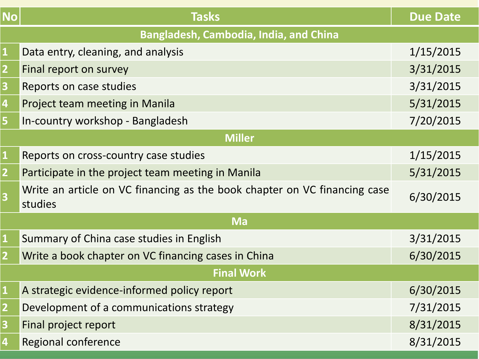| <b>No</b>                                     | <b>Tasks</b>                                                                         | <b>Due Date</b> |  |  |  |  |  |  |  |
|-----------------------------------------------|--------------------------------------------------------------------------------------|-----------------|--|--|--|--|--|--|--|
| <b>Bangladesh, Cambodia, India, and China</b> |                                                                                      |                 |  |  |  |  |  |  |  |
| $\mathbf{1}$                                  | Data entry, cleaning, and analysis                                                   | 1/15/2015       |  |  |  |  |  |  |  |
| $\overline{2}$                                | Final report on survey                                                               | 3/31/2015       |  |  |  |  |  |  |  |
| 3                                             | Reports on case studies                                                              | 3/31/2015       |  |  |  |  |  |  |  |
| 4                                             | Project team meeting in Manila                                                       | 5/31/2015       |  |  |  |  |  |  |  |
| 5                                             | In-country workshop - Bangladesh                                                     | 7/20/2015       |  |  |  |  |  |  |  |
| <b>Miller</b>                                 |                                                                                      |                 |  |  |  |  |  |  |  |
| $\mathbf{1}$                                  | Reports on cross-country case studies                                                | 1/15/2015       |  |  |  |  |  |  |  |
| $\overline{2}$                                | Participate in the project team meeting in Manila                                    | 5/31/2015       |  |  |  |  |  |  |  |
| $\overline{\mathbf{3}}$                       | Write an article on VC financing as the book chapter on VC financing case<br>studies | 6/30/2015       |  |  |  |  |  |  |  |
| <b>Ma</b>                                     |                                                                                      |                 |  |  |  |  |  |  |  |
| $\mathbf{1}$                                  | Summary of China case studies in English                                             | 3/31/2015       |  |  |  |  |  |  |  |
| $\overline{2}$                                | Write a book chapter on VC financing cases in China                                  | 6/30/2015       |  |  |  |  |  |  |  |
| <b>Final Work</b>                             |                                                                                      |                 |  |  |  |  |  |  |  |
| $\mathbf{1}$                                  | A strategic evidence-informed policy report                                          | 6/30/2015       |  |  |  |  |  |  |  |
|                                               | Development of a communications strategy                                             | 7/31/2015       |  |  |  |  |  |  |  |
| 3                                             | Final project report                                                                 | 8/31/2015       |  |  |  |  |  |  |  |
| $\overline{\mathbf{4}}$                       | Regional conference                                                                  | 8/31/2015       |  |  |  |  |  |  |  |